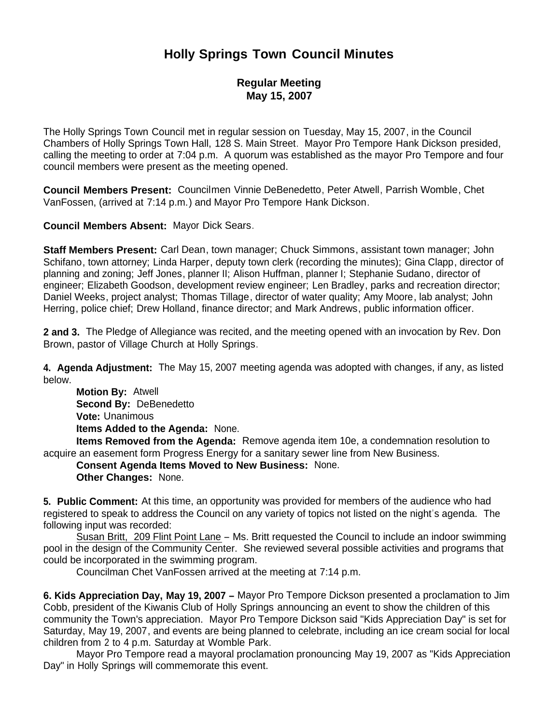# **Holly Springs Town Council Minutes**

### **Regular Meeting May 15, 2007**

The Holly Springs Town Council met in regular session on Tuesday, May 15, 2007, in the Council Chambers of Holly Springs Town Hall, 128 S. Main Street. Mayor Pro Tempore Hank Dickson presided, calling the meeting to order at 7:04 p.m. A quorum was established as the mayor Pro Tempore and four council members were present as the meeting opened.

**Council Members Present:** Councilmen Vinnie DeBenedetto, Peter Atwell, Parrish Womble, Chet VanFossen, (arrived at 7:14 p.m.) and Mayor Pro Tempore Hank Dickson.

**Council Members Absent:** Mayor Dick Sears.

**Staff Members Present:** Carl Dean, town manager; Chuck Simmons, assistant town manager; John Schifano, town attorney; Linda Harper, deputy town clerk (recording the minutes); Gina Clapp, director of planning and zoning; Jeff Jones, planner II; Alison Huffman, planner I; Stephanie Sudano, director of engineer; Elizabeth Goodson, development review engineer; Len Bradley, parks and recreation director; Daniel Weeks, project analyst; Thomas Tillage, director of water quality; Amy Moore, lab analyst; John Herring, police chief; Drew Holland, finance director; and Mark Andrews, public information officer.

**2 and 3.** The Pledge of Allegiance was recited, and the meeting opened with an invocation by Rev. Don Brown, pastor of Village Church at Holly Springs.

**4. Agenda Adjustment:** The May 15, 2007 meeting agenda was adopted with changes, if any, as listed below.

 **Motion By:** Atwell **Second By:** DeBenedetto **Vote:** Unanimous **Items Added to the Agenda:** None.

 **Items Removed from the Agenda:** Remove agenda item 10e, a condemnation resolution to acquire an easement form Progress Energy for a sanitary sewer line from New Business.

**Consent Agenda Items Moved to New Business:** None.

**Other Changes:** None.

**5. Public Comment:** At this time, an opportunity was provided for members of the audience who had registered to speak to address the Council on any variety of topics not listed on the night's agenda. The following input was recorded:

Susan Britt, 209 Flint Point Lane – Ms. Britt requested the Council to include an indoor swimming pool in the design of the Community Center. She reviewed several possible activities and programs that could be incorporated in the swimming program.

Councilman Chet VanFossen arrived at the meeting at 7:14 p.m.

**6. Kids Appreciation Day, May 19, 2007 –** Mayor Pro Tempore Dickson presented a proclamation to Jim Cobb, president of the Kiwanis Club of Holly Springs announcing an event to show the children of this community the Town's appreciation. Mayor Pro Tempore Dickson said "Kids Appreciation Day" is set for Saturday, May 19, 2007, and events are being planned to celebrate, including an ice cream social for local children from 2 to 4 p.m. Saturday at Womble Park.

 Mayor Pro Tempore read a mayoral proclamation pronouncing May 19, 2007 as "Kids Appreciation Day" in Holly Springs will commemorate this event.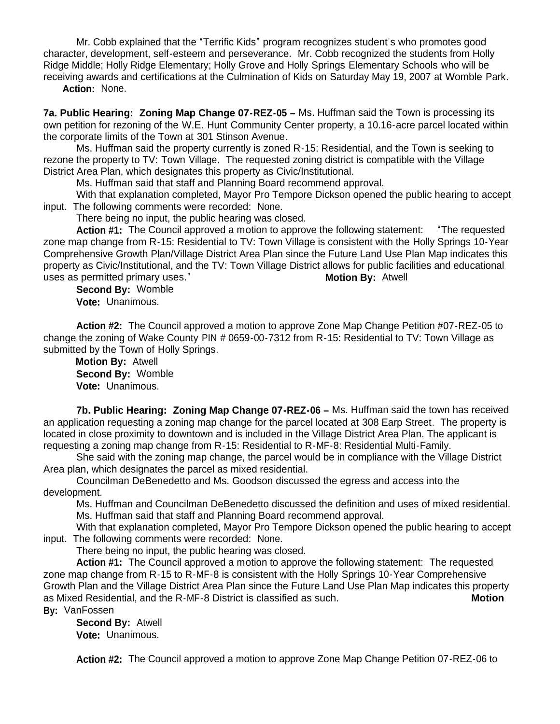Mr. Cobb explained that the "Terrific Kids" program recognizes student's who promotes good character, development, self-esteem and perseverance. Mr. Cobb recognized the students from Holly Ridge Middle; Holly Ridge Elementary; Holly Grove and Holly Springs Elementary Schools who will be receiving awards and certifications at the Culmination of Kids on Saturday May 19, 2007 at Womble Park.

 **Action:** None.

**7a. Public Hearing: Zoning Map Change 07-REZ-05 –** Ms. Huffman said the Town is processing its own petition for rezoning of the W.E. Hunt Community Center property, a 10.16-acre parcel located within the corporate limits of the Town at 301 Stinson Avenue.

 Ms. Huffman said the property currently is zoned R-15: Residential, and the Town is seeking to rezone the property to TV: Town Village. The requested zoning district is compatible with the Village District Area Plan, which designates this property as Civic/Institutional.

Ms. Huffman said that staff and Planning Board recommend approval.

With that explanation completed, Mayor Pro Tempore Dickson opened the public hearing to accept input. The following comments were recorded: None.

There being no input, the public hearing was closed.

 **Action #1:** The Council approved a motion to approve the following statement: "The requested zone map change from R-15: Residential to TV: Town Village is consistent with the Holly Springs 10-Year Comprehensive Growth Plan/Village District Area Plan since the Future Land Use Plan Map indicates this property as Civic/Institutional, and the TV: Town Village District allows for public facilities and educational uses as permitted primary uses." **Motion By:** Atwell

 **Second By:** Womble **Vote:** Unanimous.

 **Action #2:** The Council approved a motion to approve Zone Map Change Petition #07-REZ-05 to change the zoning of Wake County PIN # 0659-00-7312 from R-15: Residential to TV: Town Village as submitted by the Town of Holly Springs.

 **Motion By:** Atwell **Second By:** Womble **Vote:** Unanimous.

**7b. Public Hearing: Zoning Map Change 07-REZ-06 –** Ms. Huffman said the town has received an application requesting a zoning map change for the parcel located at 308 Earp Street. The property is located in close proximity to downtown and is included in the Village District Area Plan. The applicant is requesting a zoning map change from R-15: Residential to R-MF-8: Residential Multi-Family.

She said with the zoning map change, the parcel would be in compliance with the Village District Area plan, which designates the parcel as mixed residential.

Councilman DeBenedetto and Ms. Goodson discussed the egress and access into the development.

Ms. Huffman and Councilman DeBenedetto discussed the definition and uses of mixed residential. Ms. Huffman said that staff and Planning Board recommend approval.

With that explanation completed, Mayor Pro Tempore Dickson opened the public hearing to accept input. The following comments were recorded: None.

There being no input, the public hearing was closed.

 **Action #1:** The Council approved a motion to approve the following statement: The requested zone map change from R-15 to R-MF-8 is consistent with the Holly Springs 10-Year Comprehensive Growth Plan and the Village District Area Plan since the Future Land Use Plan Map indicates this property as Mixed Residential, and the R-MF-8 District is classified as such. **Motion** 

**By:** VanFossen

 **Second By:** Atwell **Vote:** Unanimous.

**Action #2:** The Council approved a motion to approve Zone Map Change Petition 07-REZ-06 to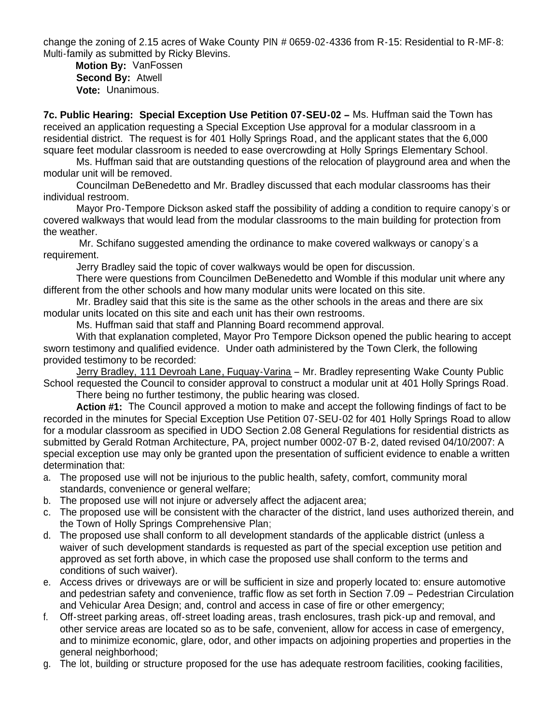change the zoning of 2.15 acres of Wake County PIN # 0659-02-4336 from R-15: Residential to R-MF-8: Multi-family as submitted by Ricky Blevins.

 **Motion By:** VanFossen **Second By:** Atwell **Vote:** Unanimous.

**7c. Public Hearing: Special Exception Use Petition 07-SEU-02 –** Ms. Huffman said the Town has received an application requesting a Special Exception Use approval for a modular classroom in a residential district. The request is for 401 Holly Springs Road, and the applicant states that the 6,000 square feet modular classroom is needed to ease overcrowding at Holly Springs Elementary School.

 Ms. Huffman said that are outstanding questions of the relocation of playground area and when the modular unit will be removed.

Councilman DeBenedetto and Mr. Bradley discussed that each modular classrooms has their individual restroom.

Mayor Pro-Tempore Dickson asked staff the possibility of adding a condition to require canopy's or covered walkways that would lead from the modular classrooms to the main building for protection from the weather.

Mr. Schifano suggested amending the ordinance to make covered walkways or canopy's a requirement.

Jerry Bradley said the topic of cover walkways would be open for discussion.

 There were questions from Councilmen DeBenedetto and Womble if this modular unit where any different from the other schools and how many modular units were located on this site.

Mr. Bradley said that this site is the same as the other schools in the areas and there are six modular units located on this site and each unit has their own restrooms.

Ms. Huffman said that staff and Planning Board recommend approval.

With that explanation completed, Mayor Pro Tempore Dickson opened the public hearing to accept sworn testimony and qualified evidence. Under oath administered by the Town Clerk, the following provided testimony to be recorded:

Jerry Bradley, 111 Devroah Lane, Fuquay-Varina – Mr. Bradley representing Wake County Public School requested the Council to consider approval to construct a modular unit at 401 Holly Springs Road.

There being no further testimony, the public hearing was closed.

 **Action #1:** The Council approved a motion to make and accept the following findings of fact to be recorded in the minutes for Special Exception Use Petition 07-SEU-02 for 401 Holly Springs Road to allow for a modular classroom as specified in UDO Section 2.08 General Regulations for residential districts as submitted by Gerald Rotman Architecture, PA, project number 0002-07 B-2, dated revised 04/10/2007: A special exception use may only be granted upon the presentation of sufficient evidence to enable a written determination that:

- a. The proposed use will not be injurious to the public health, safety, comfort, community moral standards, convenience or general welfare;
- b. The proposed use will not injure or adversely affect the adjacent area;
- c. The proposed use will be consistent with the character of the district, land uses authorized therein, and the Town of Holly Springs Comprehensive Plan;
- d. The proposed use shall conform to all development standards of the applicable district (unless a waiver of such development standards is requested as part of the special exception use petition and approved as set forth above, in which case the proposed use shall conform to the terms and conditions of such waiver).
- e. Access drives or driveways are or will be sufficient in size and properly located to: ensure automotive and pedestrian safety and convenience, traffic flow as set forth in Section 7.09 – Pedestrian Circulation and Vehicular Area Design; and, control and access in case of fire or other emergency;
- f. Off-street parking areas, off-street loading areas, trash enclosures, trash pick-up and removal, and other service areas are located so as to be safe, convenient, allow for access in case of emergency, and to minimize economic, glare, odor, and other impacts on adjoining properties and properties in the general neighborhood;
- g. The lot, building or structure proposed for the use has adequate restroom facilities, cooking facilities,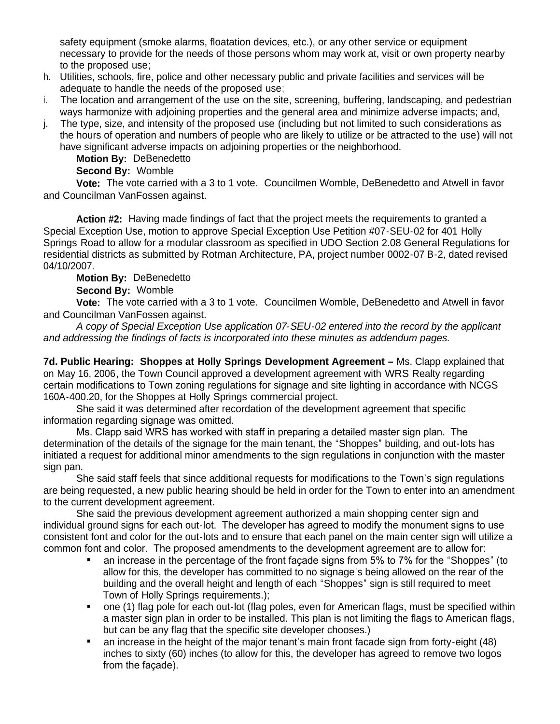safety equipment (smoke alarms, floatation devices, etc.), or any other service or equipment necessary to provide for the needs of those persons whom may work at, visit or own property nearby to the proposed use;

- h. Utilities, schools, fire, police and other necessary public and private facilities and services will be adequate to handle the needs of the proposed use;
- i. The location and arrangement of the use on the site, screening, buffering, landscaping, and pedestrian ways harmonize with adjoining properties and the general area and minimize adverse impacts; and,
- j. The type, size, and intensity of the proposed use (including but not limited to such considerations as the hours of operation and numbers of people who are likely to utilize or be attracted to the use) will not have significant adverse impacts on adjoining properties or the neighborhood.

**Motion By:** DeBenedetto

### **Second By:** Womble

 **Vote:** The vote carried with a 3 to 1 vote. Councilmen Womble, DeBenedetto and Atwell in favor and Councilman VanFossen against.

 **Action #2:** Having made findings of fact that the project meets the requirements to granted a Special Exception Use, motion to approve Special Exception Use Petition #07-SEU-02 for 401 Holly Springs Road to allow for a modular classroom as specified in UDO Section 2.08 General Regulations for residential districts as submitted by Rotman Architecture, PA, project number 0002-07 B-2, dated revised 04/10/2007.

## **Motion By:** DeBenedetto

### **Second By:** Womble

 **Vote:** The vote carried with a 3 to 1 vote. Councilmen Womble, DeBenedetto and Atwell in favor and Councilman VanFossen against.

*A copy of Special Exception Use application 07-SEU-02 entered into the record by the applicant and addressing the findings of facts is incorporated into these minutes as addendum pages.*

**7d. Public Hearing: Shoppes at Holly Springs Development Agreement –** Ms. Clapp explained that on May 16, 2006, the Town Council approved a development agreement with WRS Realty regarding certain modifications to Town zoning regulations for signage and site lighting in accordance with NCGS 160A-400.20, for the Shoppes at Holly Springs commercial project.

 She said it was determined after recordation of the development agreement that specific information regarding signage was omitted.

 Ms. Clapp said WRS has worked with staff in preparing a detailed master sign plan. The determination of the details of the signage for the main tenant, the "Shoppes" building, and out-lots has initiated a request for additional minor amendments to the sign regulations in conjunction with the master sign pan.

 She said staff feels that since additional requests for modifications to the Town's sign regulations are being requested, a new public hearing should be held in order for the Town to enter into an amendment to the current development agreement.

 She said the previous development agreement authorized a main shopping center sign and individual ground signs for each out-lot. The developer has agreed to modify the monument signs to use consistent font and color for the out-lots and to ensure that each panel on the main center sign will utilize a common font and color. The proposed amendments to the development agreement are to allow for:

- an increase in the percentage of the front façade signs from 5% to 7% for the "Shoppes" (to allow for this, the developer has committed to no signage's being allowed on the rear of the building and the overall height and length of each "Shoppes" sign is still required to meet Town of Holly Springs requirements.);
- one (1) flag pole for each out-lot (flag poles, even for American flags, must be specified within a master sign plan in order to be installed. This plan is not limiting the flags to American flags, but can be any flag that the specific site developer chooses.)
- an increase in the height of the major tenant's main front facade sign from forty-eight (48) inches to sixty (60) inches (to allow for this, the developer has agreed to remove two logos from the façade).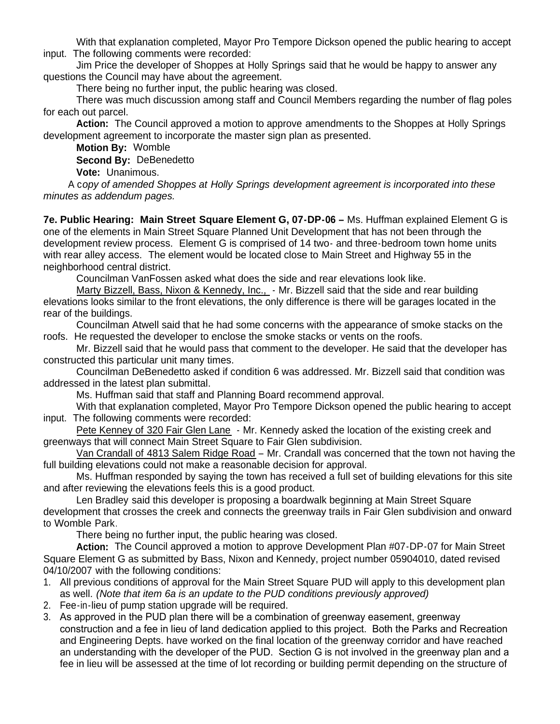With that explanation completed, Mayor Pro Tempore Dickson opened the public hearing to accept input. The following comments were recorded:

Jim Price the developer of Shoppes at Holly Springs said that he would be happy to answer any questions the Council may have about the agreement.

There being no further input, the public hearing was closed.

There was much discussion among staff and Council Members regarding the number of flag poles for each out parcel.

 **Action:** The Council approved a motion to approve amendments to the Shoppes at Holly Springs development agreement to incorporate the master sign plan as presented.

**Motion By:** Womble

**Second By:** DeBenedetto

**Vote:** Unanimous.

 A c*opy of amended Shoppes at Holly Springs development agreement is incorporated into these minutes as addendum pages.*

**7e. Public Hearing: Main Street Square Element G, 07-DP-06 –** Ms. Huffman explained Element G is one of the elements in Main Street Square Planned Unit Development that has not been through the development review process. Element G is comprised of 14 two- and three-bedroom town home units with rear alley access. The element would be located close to Main Street and Highway 55 in the neighborhood central district.

Councilman VanFossen asked what does the side and rear elevations look like.

Marty Bizzell, Bass, Nixon & Kennedy, Inc., - Mr. Bizzell said that the side and rear building elevations looks similar to the front elevations, the only difference is there will be garages located in the rear of the buildings.

Councilman Atwell said that he had some concerns with the appearance of smoke stacks on the roofs. He requested the developer to enclose the smoke stacks or vents on the roofs.

Mr. Bizzell said that he would pass that comment to the developer. He said that the developer has constructed this particular unit many times.

 Councilman DeBenedetto asked if condition 6 was addressed. Mr. Bizzell said that condition was addressed in the latest plan submittal.

Ms. Huffman said that staff and Planning Board recommend approval.

With that explanation completed, Mayor Pro Tempore Dickson opened the public hearing to accept input. The following comments were recorded:

Pete Kenney of 320 Fair Glen Lane - Mr. Kennedy asked the location of the existing creek and greenways that will connect Main Street Square to Fair Glen subdivision.

Van Crandall of 4813 Salem Ridge Road – Mr. Crandall was concerned that the town not having the full building elevations could not make a reasonable decision for approval.

Ms. Huffman responded by saying the town has received a full set of building elevations for this site and after reviewing the elevations feels this is a good product.

Len Bradley said this developer is proposing a boardwalk beginning at Main Street Square development that crosses the creek and connects the greenway trails in Fair Glen subdivision and onward to Womble Park.

There being no further input, the public hearing was closed.

 **Action:** The Council approved a motion to approve Development Plan #07-DP-07 for Main Street Square Element G as submitted by Bass, Nixon and Kennedy, project number 05904010, dated revised 04/10/2007 with the following conditions:

- 1. All previous conditions of approval for the Main Street Square PUD will apply to this development plan as well. *(Note that item 6a is an update to the PUD conditions previously approved)*
- 2. Fee-in-lieu of pump station upgrade will be required.
- 3. As approved in the PUD plan there will be a combination of greenway easement, greenway construction and a fee in lieu of land dedication applied to this project. Both the Parks and Recreation and Engineering Depts. have worked on the final location of the greenway corridor and have reached an understanding with the developer of the PUD. Section G is not involved in the greenway plan and a fee in lieu will be assessed at the time of lot recording or building permit depending on the structure of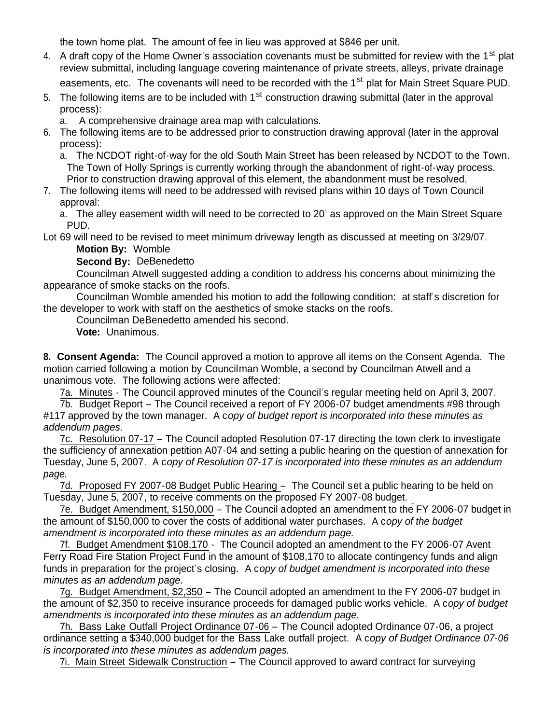the town home plat. The amount of fee in lieu was approved at \$846 per unit.

- 4. A draft copy of the Home Owner's association covenants must be submitted for review with the 1<sup>st</sup> plat review submittal, including language covering maintenance of private streets, alleys, private drainage easements, etc. The covenants will need to be recorded with the 1<sup>st</sup> plat for Main Street Square PUD.
- 5. The following items are to be included with 1<sup>st</sup> construction drawing submittal (later in the approval process):

a. A comprehensive drainage area map with calculations.

6. The following items are to be addressed prior to construction drawing approval (later in the approval process):

a. The NCDOT right-of-way for the old South Main Street has been released by NCDOT to the Town. The Town of Holly Springs is currently working through the abandonment of right-of-way process. Prior to construction drawing approval of this element, the abandonment must be resolved.

7. The following items will need to be addressed with revised plans within 10 days of Town Council approval:

a. The alley easement width will need to be corrected to 20' as approved on the Main Street Square PUD.

Lot 69 will need to be revised to meet minimum driveway length as discussed at meeting on 3/29/07. **Motion By:** Womble

**Second By:** DeBenedetto

 Councilman Atwell suggested adding a condition to address his concerns about minimizing the appearance of smoke stacks on the roofs.

 Councilman Womble amended his motion to add the following condition: at staff's discretion for the developer to work with staff on the aesthetics of smoke stacks on the roofs.

Councilman DeBenedetto amended his second.

**Vote:** Unanimous.

**8. Consent Agenda:** The Council approved a motion to approve all items on the Consent Agenda. The motion carried following a motion by Councilman Womble, a second by Councilman Atwell and a unanimous vote. The following actions were affected:

7a. Minutes - The Council approved minutes of the Council's regular meeting held on April 3, 2007.

 7b. Budget Report – The Council received a report of FY 2006-07 budget amendments #98 through #117 approved by the town manager. A c*opy of budget report is incorporated into these minutes as addendum pages.*

 7c. Resolution 07-17 – The Council adopted Resolution 07-17 directing the town clerk to investigate the sufficiency of annexation petition A07-04 and setting a public hearing on the question of annexation for Tuesday, June 5, 2007. A c*opy of Resolution 07-17 is incorporated into these minutes as an addendum page.*

7d. Proposed FY 2007-08 Budget Public Hearing – The Council set a public hearing to be held on Tuesday, June 5, 2007, to receive comments on the proposed FY 2007-08 budget.

 7e. Budget Amendment, \$150,000 – The Council adopted an amendment to the FY 2006-07 budget in the amount of \$150,000 to cover the costs of additional water purchases. A c*opy of the budget amendment is incorporated into these minutes as an addendum page.*

7f. Budget Amendment \$108,170 - The Council adopted an amendment to the FY 2006-07 Avent Ferry Road Fire Station Project Fund in the amount of \$108,170 to allocate contingency funds and align funds in preparation for the project's closing. A c*opy of budget amendment is incorporated into these minutes as an addendum page.*

 7g. Budget Amendment, \$2,350 – The Council adopted an amendment to the FY 2006-07 budget in the amount of \$2,350 to receive insurance proceeds for damaged public works vehicle. A c*opy of budget amendments is incorporated into these minutes as an addendum page.*

 7h. Bass Lake Outfall Project Ordinance 07-06 – The Council adopted Ordinance 07-06, a project ordinance setting a \$340,000 budget for the Bass Lake outfall project. A c*opy of Budget Ordinance 07-06 is incorporated into these minutes as addendum pages.*

7i. Main Street Sidewalk Construction – The Council approved to award contract for surveying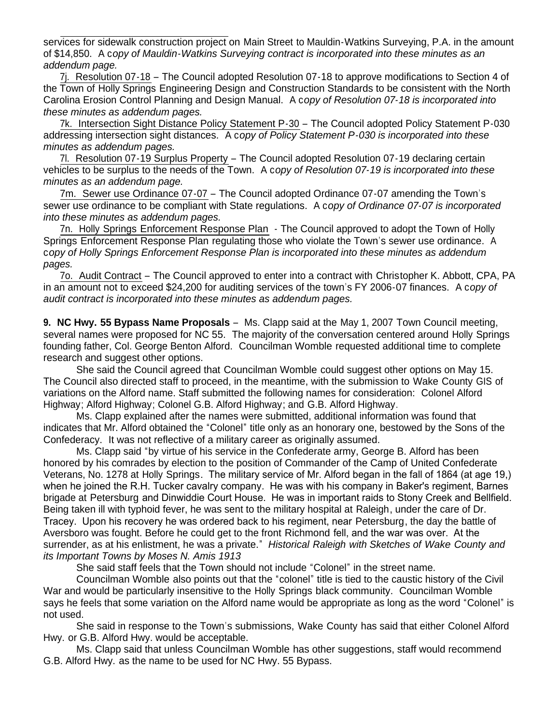services for sidewalk construction project on Main Street to Mauldin-Watkins Surveying, P.A. in the amount of \$14,850. A c*opy of Mauldin-Watkins Surveying contract is incorporated into these minutes as an addendum page.*

 7j. Resolution 07-18 – The Council adopted Resolution 07-18 to approve modifications to Section 4 of the Town of Holly Springs Engineering Design and Construction Standards to be consistent with the North Carolina Erosion Control Planning and Design Manual. A c*opy of Resolution 07-18 is incorporated into these minutes as addendum pages.*

 7k. Intersection Sight Distance Policy Statement P-30 – The Council adopted Policy Statement P-030 addressing intersection sight distances. A c*opy of Policy Statement P-030 is incorporated into these minutes as addendum pages.*

 7l. Resolution 07-19 Surplus Property – The Council adopted Resolution 07-19 declaring certain vehicles to be surplus to the needs of the Town. A c*opy of Resolution 07-19 is incorporated into these minutes as an addendum page.*

7m. Sewer use Ordinance 07-07 – The Council adopted Ordinance 07-07 amending the Town's sewer use ordinance to be compliant with State regulations. A c*opy of Ordinance 07-07 is incorporated into these minutes as addendum pages.*

 7n. Holly Springs Enforcement Response Plan - The Council approved to adopt the Town of Holly Springs Enforcement Response Plan regulating those who violate the Town's sewer use ordinance. A c*opy of Holly Springs Enforcement Response Plan is incorporated into these minutes as addendum pages.*

 7o. Audit Contract – The Council approved to enter into a contract with Christopher K. Abbott, CPA, PA in an amount not to exceed \$24,200 for auditing services of the town's FY 2006-07 finances. A c*opy of audit contract is incorporated into these minutes as addendum pages.*

**9. NC Hwy. 55 Bypass Name Proposals** – Ms. Clapp said at the May 1, 2007 Town Council meeting, several names were proposed for NC 55. The majority of the conversation centered around Holly Springs founding father, Col. George Benton Alford. Councilman Womble requested additional time to complete research and suggest other options.

She said the Council agreed that Councilman Womble could suggest other options on May 15. The Council also directed staff to proceed, in the meantime, with the submission to Wake County GIS of variations on the Alford name. Staff submitted the following names for consideration: Colonel Alford Highway; Alford Highway; Colonel G.B. Alford Highway; and G.B. Alford Highway.

Ms. Clapp explained after the names were submitted, additional information was found that indicates that Mr. Alford obtained the "Colonel" title only as an honorary one, bestowed by the Sons of the Confederacy. It was not reflective of a military career as originally assumed.

Ms. Clapp said "by virtue of his service in the Confederate army, George B. Alford has been honored by his comrades by election to the position of Commander of the Camp of United Confederate Veterans, No. 1278 at Holly Springs. The military service of Mr. Alford began in the fall of 1864 (at age 19,) when he joined the R.H. Tucker cavalry company. He was with his company in Baker's regiment, Barnes brigade at Petersburg and Dinwiddie Court House. He was in important raids to Stony Creek and Bellfield. Being taken ill with typhoid fever, he was sent to the military hospital at Raleigh, under the care of Dr. Tracey. Upon his recovery he was ordered back to his regiment, near Petersburg, the day the battle of Aversboro was fought. Before he could get to the front Richmond fell, and the war was over. At the surrender, as at his enlistment, he was a private." *Historical Raleigh with Sketches of Wake County and its Important Towns by Moses N. Amis 1913*

She said staff feels that the Town should not include "Colonel" in the street name.

Councilman Womble also points out that the "colonel" title is tied to the caustic history of the Civil War and would be particularly insensitive to the Holly Springs black community. Councilman Womble says he feels that some variation on the Alford name would be appropriate as long as the word "Colonel" is not used.

 She said in response to the Town's submissions, Wake County has said that either Colonel Alford Hwy. or G.B. Alford Hwy. would be acceptable.

Ms. Clapp said that unless Councilman Womble has other suggestions, staff would recommend G.B. Alford Hwy. as the name to be used for NC Hwy. 55 Bypass.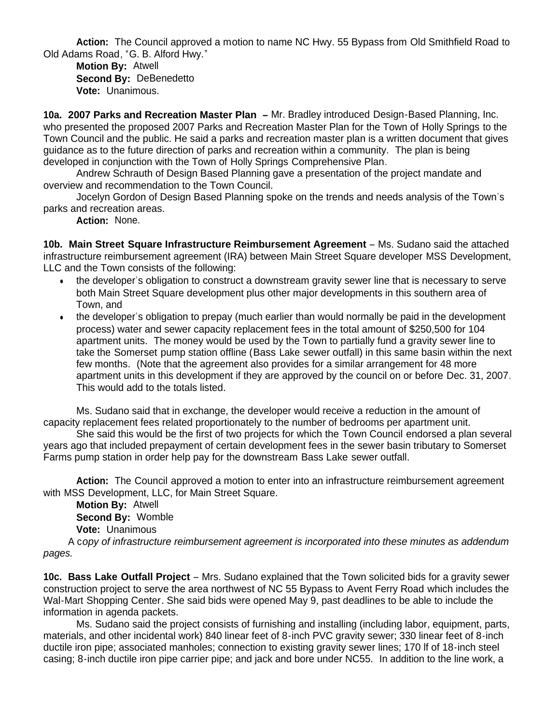**Action:** The Council approved a motion to name NC Hwy. 55 Bypass from Old Smithfield Road to Old Adams Road, "G. B. Alford Hwy."

 **Motion By:** Atwell **Second By:** DeBenedetto **Vote:** Unanimous.

**10a. 2007 Parks and Recreation Master Plan –** Mr. Bradley introduced Design-Based Planning, Inc. who presented the proposed 2007 Parks and Recreation Master Plan for the Town of Holly Springs to the Town Council and the public. He said a parks and recreation master plan is a written document that gives guidance as to the future direction of parks and recreation within a community. The plan is being developed in conjunction with the Town of Holly Springs Comprehensive Plan.

Andrew Schrauth of Design Based Planning gave a presentation of the project mandate and overview and recommendation to the Town Council.

Jocelyn Gordon of Design Based Planning spoke on the trends and needs analysis of the Town's parks and recreation areas.

**Action:** None.

**10b. Main Street Square Infrastructure Reimbursement Agreement** – Ms. Sudano said the attached infrastructure reimbursement agreement (IRA) between Main Street Square developer MSS Development, LLC and the Town consists of the following:

- the developer's obligation to construct a downstream gravity sewer line that is necessary to serve both Main Street Square development plus other major developments in this southern area of Town, and
- the developer's obligation to prepay (much earlier than would normally be paid in the development process) water and sewer capacity replacement fees in the total amount of \$250,500 for 104 apartment units. The money would be used by the Town to partially fund a gravity sewer line to take the Somerset pump station offline (Bass Lake sewer outfall) in this same basin within the next few months. (Note that the agreement also provides for a similar arrangement for 48 more apartment units in this development if they are approved by the council on or before Dec. 31, 2007. This would add to the totals listed.

 Ms. Sudano said that in exchange, the developer would receive a reduction in the amount of capacity replacement fees related proportionately to the number of bedrooms per apartment unit.

 She said this would be the first of two projects for which the Town Council endorsed a plan several years ago that included prepayment of certain development fees in the sewer basin tributary to Somerset Farms pump station in order help pay for the downstream Bass Lake sewer outfall.

**Action:** The Council approved a motion to enter into an infrastructure reimbursement agreement with MSS Development, LLC, for Main Street Square.

**Motion By:** Atwell **Second By:** Womble **Vote:** Unanimous

 A c*opy of infrastructure reimbursement agreement is incorporated into these minutes as addendum pages.*

**10c. Bass Lake Outfall Project** – Mrs. Sudano explained that the Town solicited bids for a gravity sewer construction project to serve the area northwest of NC 55 Bypass to Avent Ferry Road which includes the Wal-Mart Shopping Center. She said bids were opened May 9, past deadlines to be able to include the information in agenda packets.

Ms. Sudano said the project consists of furnishing and installing (including labor, equipment, parts, materials, and other incidental work) 840 linear feet of 8-inch PVC gravity sewer; 330 linear feet of 8-inch ductile iron pipe; associated manholes; connection to existing gravity sewer lines; 170 lf of 18-inch steel casing; 8-inch ductile iron pipe carrier pipe; and jack and bore under NC55. In addition to the line work, a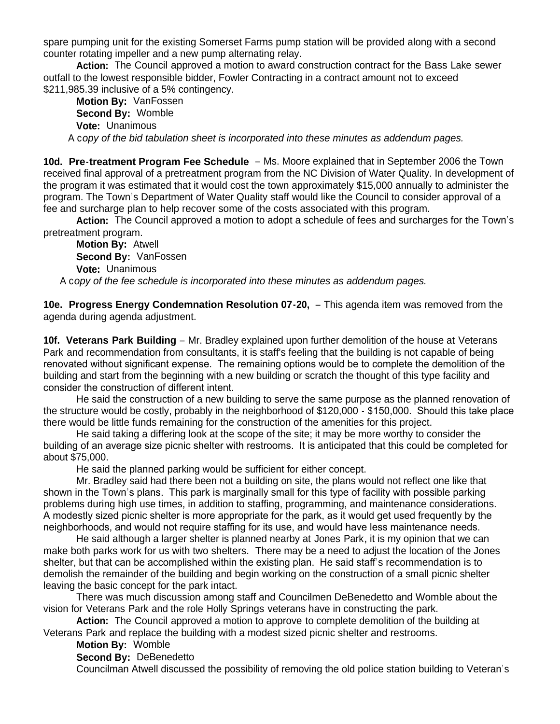spare pumping unit for the existing Somerset Farms pump station will be provided along with a second counter rotating impeller and a new pump alternating relay.

**Action:** The Council approved a motion to award construction contract for the Bass Lake sewer outfall to the lowest responsible bidder, Fowler Contracting in a contract amount not to exceed \$211,985.39 inclusive of a 5% contingency.

 **Motion By:** VanFossen **Second By:** Womble **Vote:** Unanimous A c*opy of the bid tabulation sheet is incorporated into these minutes as addendum pages.*

**10d. Pre-treatment Program Fee Schedule** – Ms. Moore explained that in September 2006 the Town received final approval of a pretreatment program from the NC Division of Water Quality. In development of the program it was estimated that it would cost the town approximately \$15,000 annually to administer the program. The Town's Department of Water Quality staff would like the Council to consider approval of a fee and surcharge plan to help recover some of the costs associated with this program.

**Action:** The Council approved a motion to adopt a schedule of fees and surcharges for the Town's pretreatment program.

 **Motion By:** Atwell **Second By:** VanFossen **Vote:** Unanimous

A c*opy of the fee schedule is incorporated into these minutes as addendum pages.*

**10e. Progress Energy Condemnation Resolution 07-20,** – This agenda item was removed from the agenda during agenda adjustment.

**10f. Veterans Park Building** – Mr. Bradley explained upon further demolition of the house at Veterans Park and recommendation from consultants, it is staff's feeling that the building is not capable of being renovated without significant expense. The remaining options would be to complete the demolition of the building and start from the beginning with a new building or scratch the thought of this type facility and consider the construction of different intent.

He said the construction of a new building to serve the same purpose as the planned renovation of the structure would be costly, probably in the neighborhood of \$120,000 - \$150,000. Should this take place there would be little funds remaining for the construction of the amenities for this project.

 He said taking a differing look at the scope of the site; it may be more worthy to consider the building of an average size picnic shelter with restrooms. It is anticipated that this could be completed for about \$75,000.

He said the planned parking would be sufficient for either concept.

 Mr. Bradley said had there been not a building on site, the plans would not reflect one like that shown in the Town's plans. This park is marginally small for this type of facility with possible parking problems during high use times, in addition to staffing, programming, and maintenance considerations. A modestly sized picnic shelter is more appropriate for the park, as it would get used frequently by the neighborhoods, and would not require staffing for its use, and would have less maintenance needs.

 He said although a larger shelter is planned nearby at Jones Park, it is my opinion that we can make both parks work for us with two shelters. There may be a need to adjust the location of the Jones shelter, but that can be accomplished within the existing plan. He said staff's recommendation is to demolish the remainder of the building and begin working on the construction of a small picnic shelter leaving the basic concept for the park intact.

 There was much discussion among staff and Councilmen DeBenedetto and Womble about the vision for Veterans Park and the role Holly Springs veterans have in constructing the park.

 **Action:** The Council approved a motion to approve to complete demolition of the building at Veterans Park and replace the building with a modest sized picnic shelter and restrooms.

**Motion By:** Womble

#### **Second By:** DeBenedetto

Councilman Atwell discussed the possibility of removing the old police station building to Veteran's